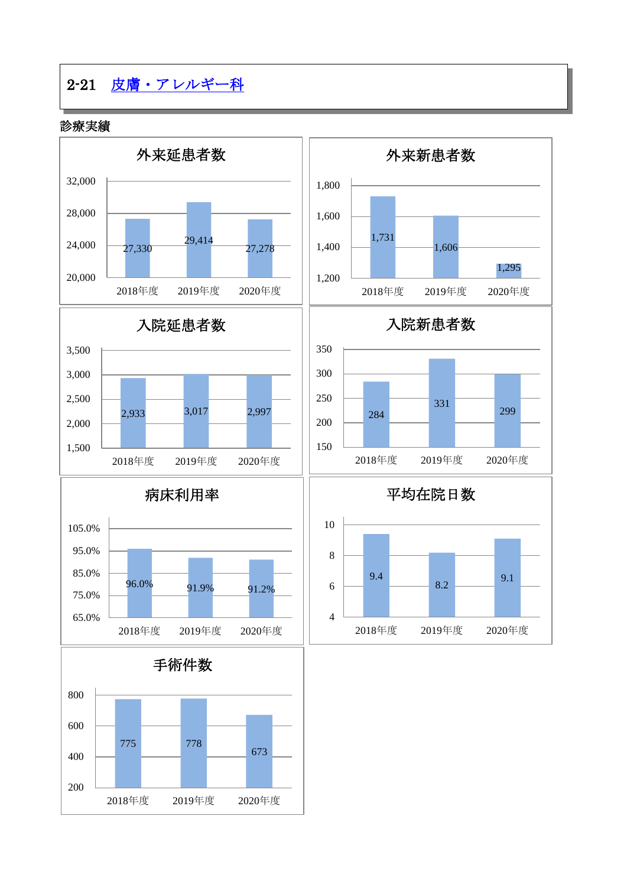# 2-21 [皮膚・アレルギー科](http://www.hosp-shizuoka.juntendo.ac.jp/consult/departments/skin.html)

診療実績

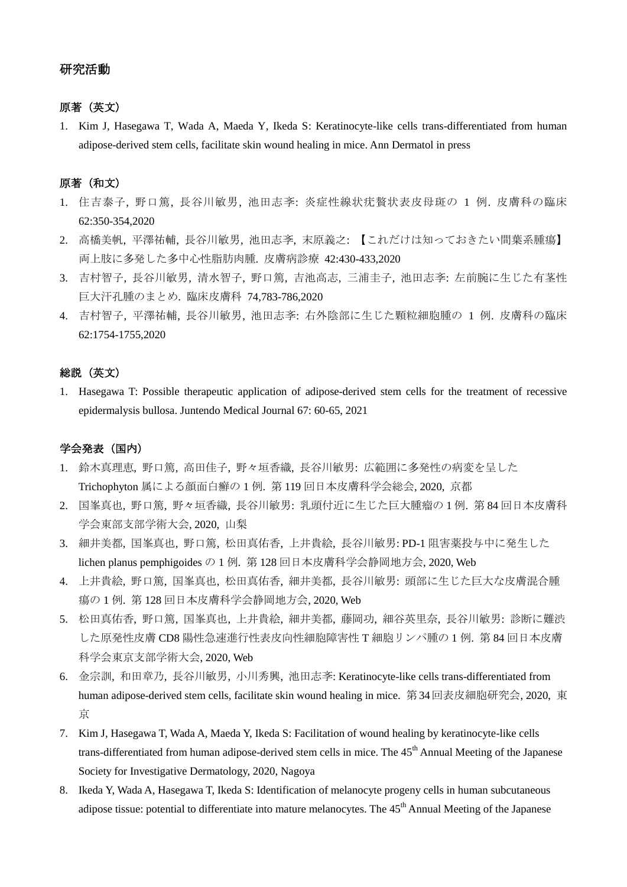## 研究活動

## 原著(英文)

1. Kim J, Hasegawa T, Wada A, Maeda Y, Ikeda S: Keratinocyte-like cells trans-differentiated from human adipose-derived stem cells, facilitate skin wound healing in mice. Ann Dermatol in press

## 原著(和文)

- 1. 住吉泰子, 野口篤, 長谷川敏男, 池田志斈: 炎症性線状疣贅状表皮母斑の 1 例. 皮膚科の臨床 62:350-354,2020
- 2. 高橋美帆, 平澤祐輔, 長谷川敏男, 池田志斈, 末原義之: 【これだけは知っておきたい間葉系腫瘍】 両上肢に多発した多中心性脂肪肉腫. 皮膚病診療 42:430-433,2020
- 3. 吉村智子, 長谷川敏男, 清水智子, 野口篤, 吉池高志, 三浦圭子, 池田志斈: 左前腕に生じた有茎性 巨大汗孔腫のまとめ. 臨床皮膚科 74,783-786,2020
- 4. 吉村智子, 平澤祐輔, 長谷川敏男, 池田志斈: 右外陰部に生じた顆粒細胞腫の 1 例. 皮膚科の臨床 62:1754-1755,2020

## 総説(英文)

1. Hasegawa T: Possible therapeutic application of adipose-derived stem cells for the treatment of recessive epidermalysis bullosa. Juntendo Medical Journal 67: 60-65, 2021

#### 学会発表(国内)

- 1. 鈴木真理恵, 野口篤, 高田佳子, 野々垣香織, 長谷川敏男: 広範囲に多発性の病変を呈した Trichophyton 属による顔面白癬の 1 例. 第 119 回日本皮膚科学会総会, 2020, 京都
- 2. 国峯真也, 野口篤, 野々垣香織, 長谷川敏男: 乳頭付近に生じた巨大腫瘤の 1 例. 第 84 回日本皮膚科 学会東部支部学術大会, 2020, 山梨
- 3. 細井美都, 国峯真也, 野口篤, 松田真佑香, 上井貴絵, 長谷川敏男: PD-1 阻害薬投与中に発生した lichen planus pemphigoides の 1 例. 第 128 回日本皮膚科学会静岡地方会, 2020, Web
- 4. 上井貴絵, 野口篤, 国峯真也, 松田真佑香, 細井美都, 長谷川敏男: 頭部に生じた巨大な皮膚混合腫 瘍の 1 例. 第 128 回日本皮膚科学会静岡地方会, 2020, Web
- 5. 松田真佑香, 野口篤, 国峯真也, 上井貴絵, 細井美都, 藤岡功, 細谷英里奈, 長谷川敏男: 診断に難渋 した原発性皮膚 CD8 陽性急速進行性表皮向性細胞障害性 T 細胞リンパ腫の 1 例. 第 84 回日本皮膚 科学会東京支部学術大会, 2020, Web
- 6. 金宗訓, 和田章乃, 長谷川敏男, 小川秀興, 池田志斈: Keratinocyte-like cells trans-differentiated from human adipose-derived stem cells, facilitate skin wound healing in mice. 第34回表皮細胞研究会, 2020, 東 京
- 7. Kim J, Hasegawa T, Wada A, Maeda Y, Ikeda S: Facilitation of wound healing by keratinocyte-like cells trans-differentiated from human adipose-derived stem cells in mice. The 45<sup>th</sup> Annual Meeting of the Japanese Society for Investigative Dermatology, 2020, Nagoya
- 8. Ikeda Y, Wada A, Hasegawa T, Ikeda S: Identification of melanocyte progeny cells in human subcutaneous adipose tissue: potential to differentiate into mature melanocytes. The 45<sup>th</sup> Annual Meeting of the Japanese